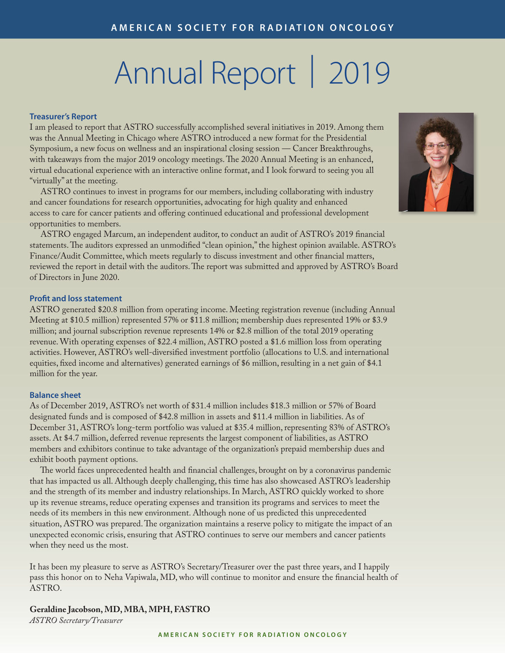# Annual Report | 2019

#### **Treasurer's Report**

I am pleased to report that ASTRO successfully accomplished several initiatives in 2019. Among them was the Annual Meeting in Chicago where ASTRO introduced a new format for the Presidential Symposium, a new focus on wellness and an inspirational closing session — Cancer Breakthroughs, with takeaways from the major 2019 oncology meetings. The 2020 Annual Meeting is an enhanced, virtual educational experience with an interactive online format, and I look forward to seeing you all "virtually" at the meeting.

 ASTRO continues to invest in programs for our members, including collaborating with industry and cancer foundations for research opportunities, advocating for high quality and enhanced access to care for cancer patients and offering continued educational and professional development opportunities to members.

 ASTRO engaged Marcum, an independent auditor, to conduct an audit of ASTRO's 2019 financial statements. The auditors expressed an unmodified "clean opinion," the highest opinion available. ASTRO's Finance/Audit Committee, which meets regularly to discuss investment and other financial matters, reviewed the report in detail with the auditors. The report was submitted and approved by ASTRO's Board of Directors in June 2020.

#### **Profit and loss statement**

ASTRO generated \$20.8 million from operating income. Meeting registration revenue (including Annual Meeting at \$10.5 million) represented 57% or \$11.8 million; membership dues represented 19% or \$3.9 million; and journal subscription revenue represents 14% or \$2.8 million of the total 2019 operating revenue. With operating expenses of \$22.4 million, ASTRO posted a \$1.6 million loss from operating activities. However, ASTRO's well-diversified investment portfolio (allocations to U.S. and international equities, fixed income and alternatives) generated earnings of \$6 million, resulting in a net gain of \$4.1 million for the year.

#### **Balance sheet**

As of December 2019, ASTRO's net worth of \$31.4 million includes \$18.3 million or 57% of Board designated funds and is composed of \$42.8 million in assets and \$11.4 million in liabilities. As of December 31, ASTRO's long-term portfolio was valued at \$35.4 million, representing 83% of ASTRO's assets. At \$4.7 million, deferred revenue represents the largest component of liabilities, as ASTRO members and exhibitors continue to take advantage of the organization's prepaid membership dues and exhibit booth payment options.

 The world faces unprecedented health and financial challenges, brought on by a coronavirus pandemic that has impacted us all. Although deeply challenging, this time has also showcased ASTRO's leadership and the strength of its member and industry relationships. In March, ASTRO quickly worked to shore up its revenue streams, reduce operating expenses and transition its programs and services to meet the needs of its members in this new environment. Although none of us predicted this unprecedented situation, ASTRO was prepared. The organization maintains a reserve policy to mitigate the impact of an unexpected economic crisis, ensuring that ASTRO continues to serve our members and cancer patients when they need us the most.

It has been my pleasure to serve as ASTRO's Secretary/Treasurer over the past three years, and I happily pass this honor on to Neha Vapiwala, MD, who will continue to monitor and ensure the financial health of ASTRO.

**Geraldine Jacobson, MD, MBA, MPH, FASTRO** *ASTRO Secretary/Treasurer*

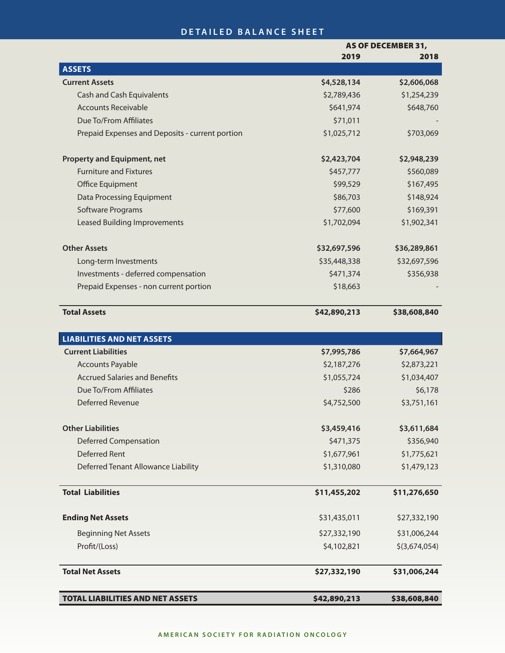### **DETAILED BALANCE SHEET**

|                                                 | <b>AS OF DECEMBER 31,</b> |               |
|-------------------------------------------------|---------------------------|---------------|
|                                                 | 2019                      | 2018          |
| <b>ASSETS</b>                                   |                           |               |
| <b>Current Assets</b>                           | \$4,528,134               | \$2,606,068   |
| <b>Cash and Cash Equivalents</b>                | \$2,789,436               | \$1,254,239   |
| <b>Accounts Receivable</b>                      | \$641,974                 | \$648,760     |
| Due To/From Affiliates                          | \$71,011                  |               |
| Prepaid Expenses and Deposits - current portion | \$1,025,712               | \$703,069     |
| <b>Property and Equipment, net</b>              | \$2,423,704               | \$2,948,239   |
| <b>Furniture and Fixtures</b>                   | \$457,777                 | \$560,089     |
| Office Equipment                                | \$99,529                  | \$167,495     |
| <b>Data Processing Equipment</b>                | \$86,703                  | \$148,924     |
| Software Programs                               | \$77,600                  | \$169,391     |
| <b>Leased Building Improvements</b>             | \$1,702,094               | \$1,902,341   |
| <b>Other Assets</b>                             | \$32,697,596              | \$36,289,861  |
| Long-term Investments                           | \$35,448,338              | \$32,697,596  |
| Investments - deferred compensation             | \$471,374                 | \$356,938     |
| Prepaid Expenses - non current portion          | \$18,663                  |               |
| <b>Total Assets</b>                             | \$42,890,213              | \$38,608,840  |
| <b>LIABILITIES AND NET ASSETS</b>               |                           |               |
| <b>Current Liabilities</b>                      | \$7,995,786               | \$7,664,967   |
| <b>Accounts Payable</b>                         | \$2,187,276               | \$2,873,221   |
| <b>Accrued Salaries and Benefits</b>            | \$1,055,724               | \$1,034,407   |
| Due To/From Affiliates                          | \$286                     | \$6,178       |
| <b>Deferred Revenue</b>                         | \$4,752,500               | \$3,751,161   |
| <b>Other Liabilities</b>                        | \$3,459,416               | \$3,611,684   |
| <b>Deferred Compensation</b>                    | \$471,375                 | \$356,940     |
| Deferred Rent                                   | \$1,677,961               | \$1,775,621   |
| Deferred Tenant Allowance Liability             | \$1,310,080               | \$1,479,123   |
| <b>Total Liabilities</b>                        | \$11,455,202              | \$11,276,650  |
| <b>Ending Net Assets</b>                        | \$31,435,011              | \$27,332,190  |
| <b>Beginning Net Assets</b>                     | \$27,332,190              | \$31,006,244  |
| Profit/(Loss)                                   | \$4,102,821               | \$(3,674,054) |
| <b>Total Net Assets</b>                         | \$27,332,190              | \$31,006,244  |
| <b>TOTAL LIABILITIES AND NET ASSETS</b>         | \$42,890,213              | \$38,608,840  |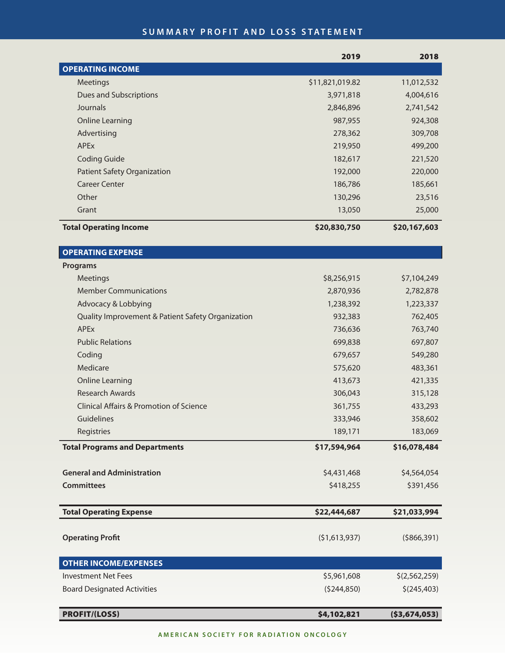## **SUMMARY PROFIT AND LOSS STATEMENT**

|                                                    | 2019            | 2018           |
|----------------------------------------------------|-----------------|----------------|
| <b>OPERATING INCOME</b>                            |                 |                |
| Meetings                                           | \$11,821,019.82 | 11,012,532     |
| Dues and Subscriptions                             | 3,971,818       | 4,004,616      |
| Journals                                           | 2,846,896       | 2,741,542      |
| <b>Online Learning</b>                             | 987,955         | 924,308        |
| Advertising                                        | 278,362         | 309,708        |
| <b>APEx</b>                                        | 219,950         | 499,200        |
| <b>Coding Guide</b>                                | 182,617         | 221,520        |
| <b>Patient Safety Organization</b>                 | 192,000         | 220,000        |
| <b>Career Center</b>                               | 186,786         | 185,661        |
| Other                                              | 130,296         | 23,516         |
| Grant                                              | 13,050          | 25,000         |
| <b>Total Operating Income</b>                      | \$20,830,750    | \$20,167,603   |
| <b>OPERATING EXPENSE</b>                           |                 |                |
| <b>Programs</b>                                    |                 |                |
| Meetings                                           | \$8,256,915     | \$7,104,249    |
| <b>Member Communications</b>                       | 2,870,936       | 2,782,878      |
| Advocacy & Lobbying                                | 1,238,392       | 1,223,337      |
| Quality Improvement & Patient Safety Organization  | 932,383         | 762,405        |
| <b>APEx</b>                                        | 736,636         | 763,740        |
| <b>Public Relations</b>                            | 699,838         | 697,807        |
| Coding                                             | 679,657         | 549,280        |
| Medicare                                           | 575,620         | 483,361        |
| <b>Online Learning</b>                             | 413,673         | 421,335        |
| <b>Research Awards</b>                             | 306,043         | 315,128        |
| <b>Clinical Affairs &amp; Promotion of Science</b> | 361,755         | 433,293        |
| Guidelines                                         | 333,946         | 358,602        |
| Registries                                         | 189,171         | 183,069        |
| <b>Total Programs and Departments</b>              | \$17,594,964    | \$16,078,484   |
| <b>General and Administration</b>                  | \$4,431,468     | \$4,564,054    |
| <b>Committees</b>                                  | \$418,255       | \$391,456      |
| <b>Total Operating Expense</b>                     | \$22,444,687    | \$21,033,994   |
|                                                    |                 |                |
| <b>Operating Profit</b>                            | (51,613,937)    | ( \$866, 391)  |
| <b>OTHER INCOME/EXPENSES</b>                       |                 |                |
| <b>Investment Net Fees</b>                         | \$5,961,608     | \$(2,562,259)  |
| <b>Board Designated Activities</b>                 | (5244, 850)     | \$(245, 403)   |
| <b>PROFIT/(LOSS)</b>                               | \$4,102,821     | ( \$3,674,053) |